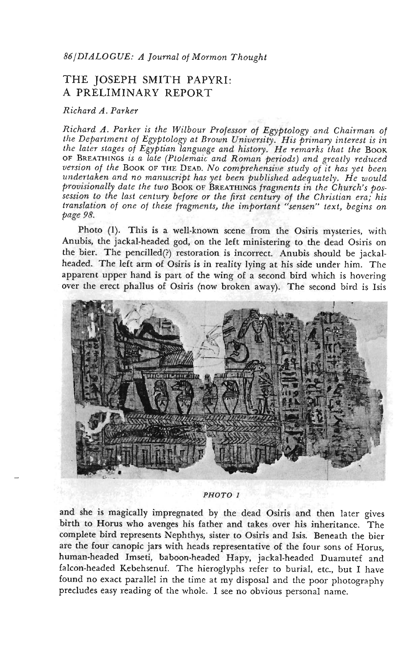## THE JOSEPH SMITH PAPYRI: A PRELIMINARY REPORT

## *Richard A. Parker*

*Richard A. Parker is the Wilbour Professor of Egyptology and Chairman of the Department of Egyptology at Brown University. His primary interest is in* the later stages of Egyptian language and history. He remarks that the BOOK OF BREATHINGS *is a late (Ptolemaic and Roman periods) and greatly reduced version of the* BOOK OF THE DEAD. *NO comprehensive study of it has yet been undertaken and no manuscript has yet been published adequately. He would provisionally date the two* BOOK OF BREATHINGS *fragments in the Church's possession to the last century before or the first century of the Christian era; his translation of one of these fragments, the important "sensen" text, begins on page 98.*

Photo (1). This is a well-known scene from the Osiris mysteries, with Anubis, the jackal-headed god, on the left ministering to the dead Osiris on the bier. The pencilled(?) restoration is incorrect. Anubis should be jackalheaded. The left arm of Osiris is in reality lying at his side under him. The apparent upper hand is part of the wing of a second bird which is hovering over the erect phallus of Osiris (now broken away). The second bird is Isis



*PHOTO l*

and she is magically impregnated by the dead Osiris and then later gives birth to Horus who avenges his father and takes over his inheritance. The complete bird represents Nephthys, sister to Osiris and Isis. Beneath the bier are the four canopic jars with heads representative of the four sons of Horus, human-headed Imseti, baboon-headed Hapy, jackal-headed Duamutef and falcon-headed Kebehsenuf. The hieroglyphs refer to burial, etc., but I have found no exact parallel in the time at my disposal and the poor photography precludes easy reading of the whole. I see no obvious personal name.